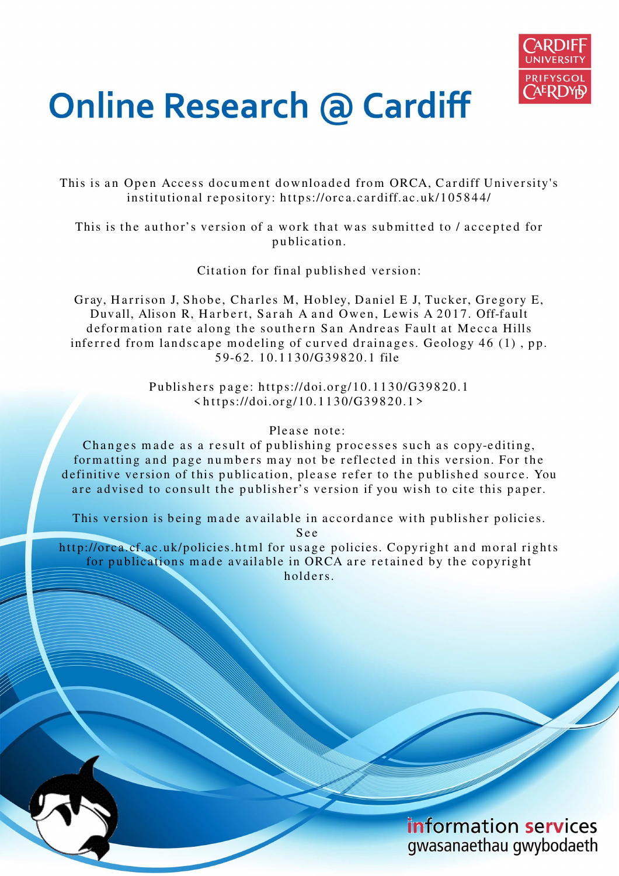

# **Online Research @ Cardiff**

This is an Open Access document downloaded from ORCA, Cardiff University's institutional repository: https://orca.cardiff.ac.uk/105844/

This is the author's version of a work that was submitted to / accepted for p u blication.

Citation for final published version:

Gray, Harrison J, Shobe, Charles M, Hobley, Daniel E J, Tucker, Gregory E, Duvall, Alison R, Harbert, Sarah A and Owen, Lewis A 2017. Off-fault deformation rate along the southern San Andreas Fault at Mecca Hills inferred from landscape modeling of curved drainages. Geology  $46$  (1), pp. 59-62. 10.1130/G39820.1 file

> Publishers page: https://doi.org/10.1130/G39820.1 < h t t p s://doi.org/10.11 3 0/G398 2 0.1 >

> > Please note:

Changes made as a result of publishing processes such as copy-editing, formatting and page numbers may not be reflected in this version. For the definitive version of this publication, please refer to the published source. You are advised to consult the publisher's version if you wish to cite this paper.

This version is being made available in accordance with publisher policies.

S e e

http://orca.cf.ac.uk/policies.html for usage policies. Copyright and moral rights for publications made available in ORCA are retained by the copyright holders.

> information services gwasanaethau gwybodaeth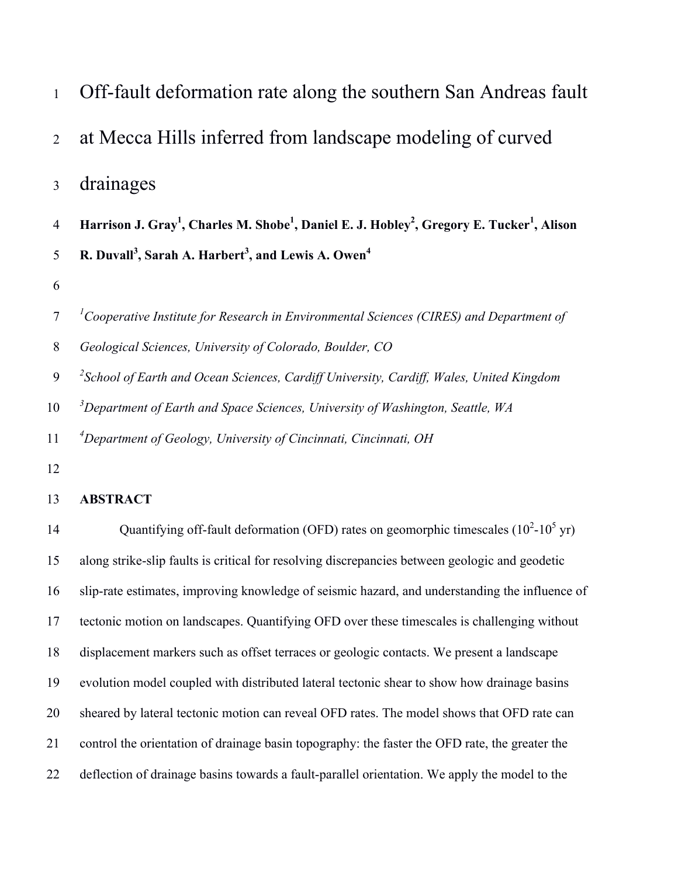| $\mathbf{1}$   | Off-fault deformation rate along the southern San Andreas fault                                                                            |
|----------------|--------------------------------------------------------------------------------------------------------------------------------------------|
| $\overline{2}$ | at Mecca Hills inferred from landscape modeling of curved                                                                                  |
| 3              | drainages                                                                                                                                  |
| $\overline{4}$ | Harrison J. Gray <sup>1</sup> , Charles M. Shobe <sup>1</sup> , Daniel E. J. Hobley <sup>2</sup> , Gregory E. Tucker <sup>1</sup> , Alison |
| 5              | R. Duvall <sup>3</sup> , Sarah A. Harbert <sup>3</sup> , and Lewis A. Owen <sup>4</sup>                                                    |
| 6              |                                                                                                                                            |
| $\tau$         | ${}^{1}$ Cooperative Institute for Research in Environmental Sciences (CIRES) and Department of                                            |
| $\,8\,$        | Geological Sciences, University of Colorado, Boulder, CO                                                                                   |
| 9              | <sup>2</sup> School of Earth and Ocean Sciences, Cardiff University, Cardiff, Wales, United Kingdom                                        |
| 10             | $3$ Department of Earth and Space Sciences, University of Washington, Seattle, WA                                                          |
| 11             | <sup>4</sup> Department of Geology, University of Cincinnati, Cincinnati, OH                                                               |
| 12             |                                                                                                                                            |
| 13             | <b>ABSTRACT</b>                                                                                                                            |
| 14             | Quantifying off-fault deformation (OFD) rates on geomorphic timescales $(10^2-10^5 \text{ yr})$                                            |
| 15             | along strike-slip faults is critical for resolving discrepancies between geologic and geodetic                                             |
| 16             | slip-rate estimates, improving knowledge of seismic hazard, and understanding the influence of                                             |
| 17             | tectonic motion on landscapes. Quantifying OFD over these timescales is challenging without                                                |
| 18             | displacement markers such as offset terraces or geologic contacts. We present a landscape                                                  |
| 19             | evolution model coupled with distributed lateral tectonic shear to show how drainage basins                                                |
| 20             | sheared by lateral tectonic motion can reveal OFD rates. The model shows that OFD rate can                                                 |

- 21 control the orientation of drainage basin topography: the faster the OFD rate, the greater the
- 22 deflection of drainage basins towards a fault-parallel orientation. We apply the model to the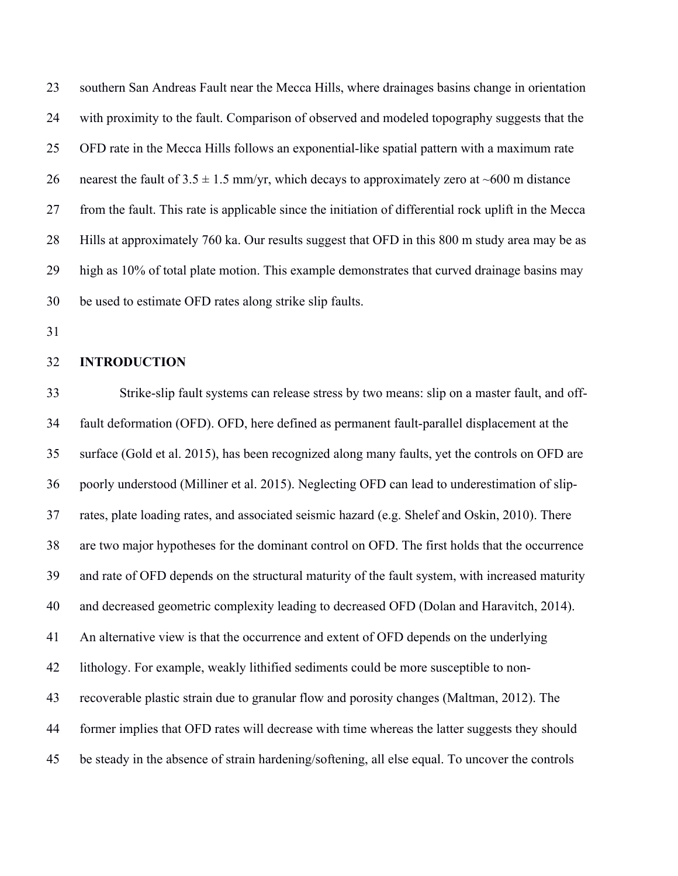23 southern San Andreas Fault near the Mecca Hills, where drainages basins change in orientation 24 with proximity to the fault. Comparison of observed and modeled topography suggests that the 25 OFD rate in the Mecca Hills follows an exponential-like spatial pattern with a maximum rate 26 nearest the fault of  $3.5 \pm 1.5$  mm/yr, which decays to approximately zero at ~600 m distance 27 from the fault. This rate is applicable since the initiation of differential rock uplift in the Mecca 28 Hills at approximately 760 ka. Our results suggest that OFD in this 800 m study area may be as 29 high as 10% of total plate motion. This example demonstrates that curved drainage basins may 30 be used to estimate OFD rates along strike slip faults.

31

## 32 **INTRODUCTION**

33 Strike-slip fault systems can release stress by two means: slip on a master fault, and off-34 fault deformation (OFD). OFD, here defined as permanent fault-parallel displacement at the 35 surface (Gold et al. 2015), has been recognized along many faults, yet the controls on OFD are 36 poorly understood (Milliner et al. 2015). Neglecting OFD can lead to underestimation of slip-37 rates, plate loading rates, and associated seismic hazard (e.g. Shelef and Oskin, 2010). There 38 are two major hypotheses for the dominant control on OFD. The first holds that the occurrence 39 and rate of OFD depends on the structural maturity of the fault system, with increased maturity 40 and decreased geometric complexity leading to decreased OFD (Dolan and Haravitch, 2014). 41 An alternative view is that the occurrence and extent of OFD depends on the underlying 42 lithology. For example, weakly lithified sediments could be more susceptible to non-43 recoverable plastic strain due to granular flow and porosity changes (Maltman, 2012). The 44 former implies that OFD rates will decrease with time whereas the latter suggests they should 45 be steady in the absence of strain hardening/softening, all else equal. To uncover the controls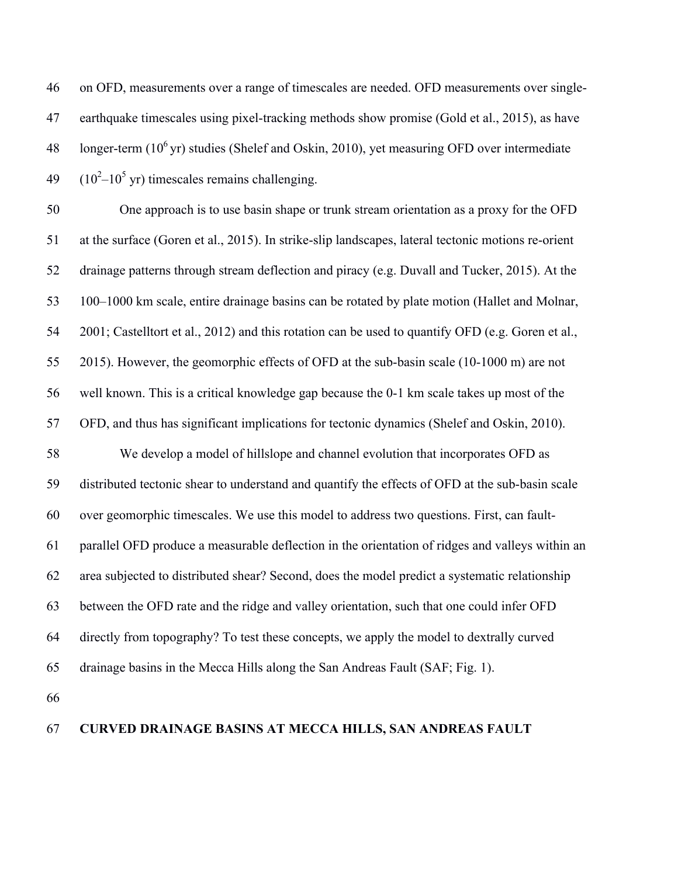46 on OFD, measurements over a range of timescales are needed. OFD measurements over single-47 earthquake timescales using pixel-tracking methods show promise (Gold et al., 2015), as have  $10^6$  yr) studies (Shelef and Oskin, 2010), yet measuring OFD over intermediate  $49$  (10<sup>2</sup>-10<sup>5</sup> yr) timescales remains challenging.

50 One approach is to use basin shape or trunk stream orientation as a proxy for the OFD 51 at the surface (Goren et al., 2015). In strike-slip landscapes, lateral tectonic motions re-orient 52 drainage patterns through stream deflection and piracy (e.g. Duvall and Tucker, 2015). At the 53 100–1000 km scale, entire drainage basins can be rotated by plate motion (Hallet and Molnar, 54 2001; Castelltort et al., 2012) and this rotation can be used to quantify OFD (e.g. Goren et al., 55 2015). However, the geomorphic effects of OFD at the sub-basin scale (10-1000 m) are not 56 well known. This is a critical knowledge gap because the 0-1 km scale takes up most of the 57 OFD, and thus has significant implications for tectonic dynamics (Shelef and Oskin, 2010). 58 We develop a model of hillslope and channel evolution that incorporates OFD as 59 distributed tectonic shear to understand and quantify the effects of OFD at the sub-basin scale 60 over geomorphic timescales. We use this model to address two questions. First, can fault-61 parallel OFD produce a measurable deflection in the orientation of ridges and valleys within an 62 area subjected to distributed shear? Second, does the model predict a systematic relationship 63 between the OFD rate and the ridge and valley orientation, such that one could infer OFD 64 directly from topography? To test these concepts, we apply the model to dextrally curved 65 drainage basins in the Mecca Hills along the San Andreas Fault (SAF; Fig. 1).

66

# 67 **CURVED DRAINAGE BASINS AT MECCA HILLS, SAN ANDREAS FAULT**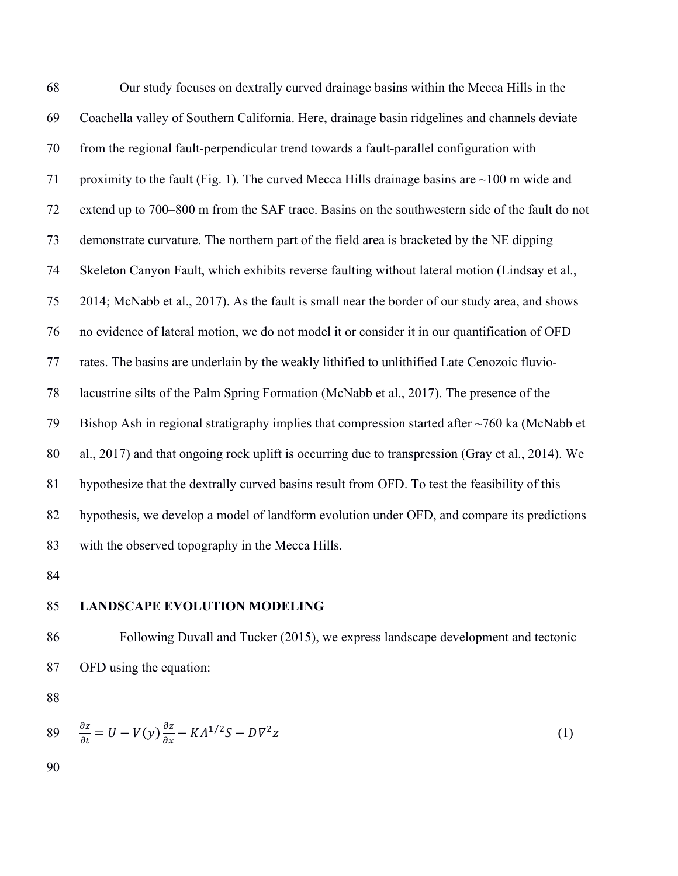68 Our study focuses on dextrally curved drainage basins within the Mecca Hills in the 69 Coachella valley of Southern California. Here, drainage basin ridgelines and channels deviate 70 from the regional fault-perpendicular trend towards a fault-parallel configuration with 71 proximity to the fault (Fig. 1). The curved Mecca Hills drainage basins are  $\sim$ 100 m wide and 72 extend up to 700–800 m from the SAF trace. Basins on the southwestern side of the fault do not 73 demonstrate curvature. The northern part of the field area is bracketed by the NE dipping 74 Skeleton Canyon Fault, which exhibits reverse faulting without lateral motion (Lindsay et al., 75 2014; McNabb et al., 2017). As the fault is small near the border of our study area, and shows 76 no evidence of lateral motion, we do not model it or consider it in our quantification of OFD 77 rates. The basins are underlain by the weakly lithified to unlithified Late Cenozoic fluvio-78 lacustrine silts of the Palm Spring Formation (McNabb et al., 2017). The presence of the 79 Bishop Ash in regional stratigraphy implies that compression started after  $\sim$ 760 ka (McNabb et 80 al., 2017) and that ongoing rock uplift is occurring due to transpression (Gray et al., 2014). We 81 hypothesize that the dextrally curved basins result from OFD. To test the feasibility of this 82 hypothesis, we develop a model of landform evolution under OFD, and compare its predictions 83 with the observed topography in the Mecca Hills.

84

#### 85 **LANDSCAPE EVOLUTION MODELING**

86 Following Duvall and Tucker (2015), we express landscape development and tectonic 87 OFD using the equation:

88

$$
89 \quad \frac{\partial z}{\partial t} = U - V(y) \frac{\partial z}{\partial x} - KA^{1/2}S - D\nabla^2 z \tag{1}
$$

90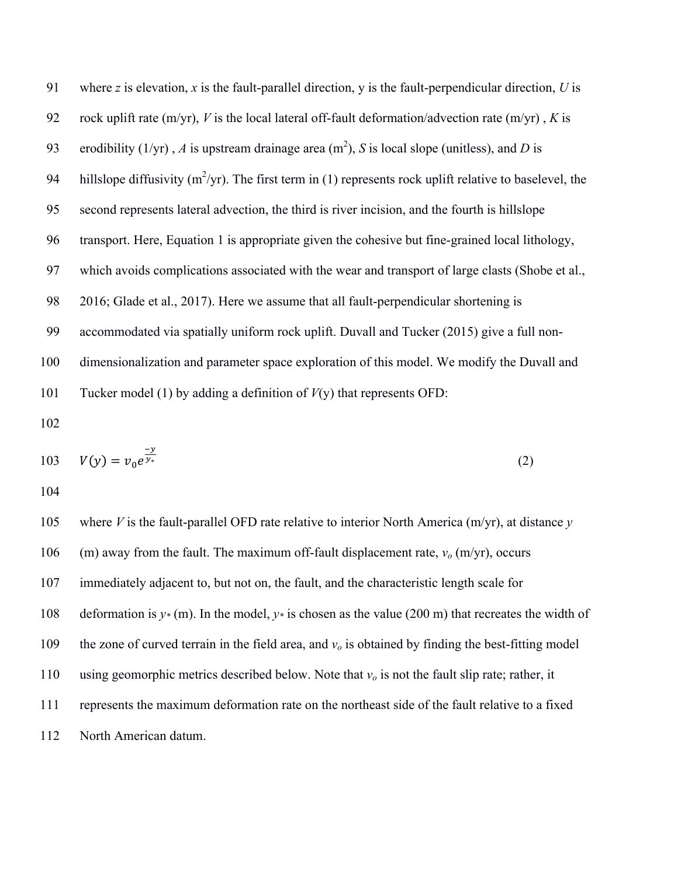| 91  | where $z$ is elevation, $x$ is the fault-parallel direction, $y$ is the fault-perpendicular direction, $U$ is |
|-----|---------------------------------------------------------------------------------------------------------------|
| 92  | rock uplift rate (m/yr), V is the local lateral off-fault deformation/advection rate (m/yr), K is             |
| 93  | erodibility (1/yr), A is upstream drainage area $(m2)$ , S is local slope (unitless), and D is                |
| 94  | hillslope diffusivity ( $m^2$ /yr). The first term in (1) represents rock uplift relative to baselevel, the   |
| 95  | second represents lateral advection, the third is river incision, and the fourth is hillslope                 |
| 96  | transport. Here, Equation 1 is appropriate given the cohesive but fine-grained local lithology,               |
| 97  | which avoids complications associated with the wear and transport of large clasts (Shobe et al.,              |
| 98  | 2016; Glade et al., 2017). Here we assume that all fault-perpendicular shortening is                          |
| 99  | accommodated via spatially uniform rock uplift. Duvall and Tucker (2015) give a full non-                     |
| 100 | dimensionalization and parameter space exploration of this model. We modify the Duvall and                    |
| 101 | Tucker model (1) by adding a definition of $V(y)$ that represents OFD:                                        |

102

103 
$$
V(y) = v_0 e^{\frac{-y}{y_*}}
$$
 (2)

104

105 where *V* is the fault-parallel OFD rate relative to interior North America (m/yr), at distance *y* 106 (m) away from the fault. The maximum off-fault displacement rate, *vo* (m/yr), occurs 107 immediately adjacent to, but not on, the fault, and the characteristic length scale for 108 deformation is  $y*(m)$ . In the model,  $y*$  is chosen as the value (200 m) that recreates the width of 109 the zone of curved terrain in the field area, and *vo* is obtained by finding the best-fitting model 110 using geomorphic metrics described below. Note that *vo* is not the fault slip rate; rather, it 111 represents the maximum deformation rate on the northeast side of the fault relative to a fixed 112 North American datum.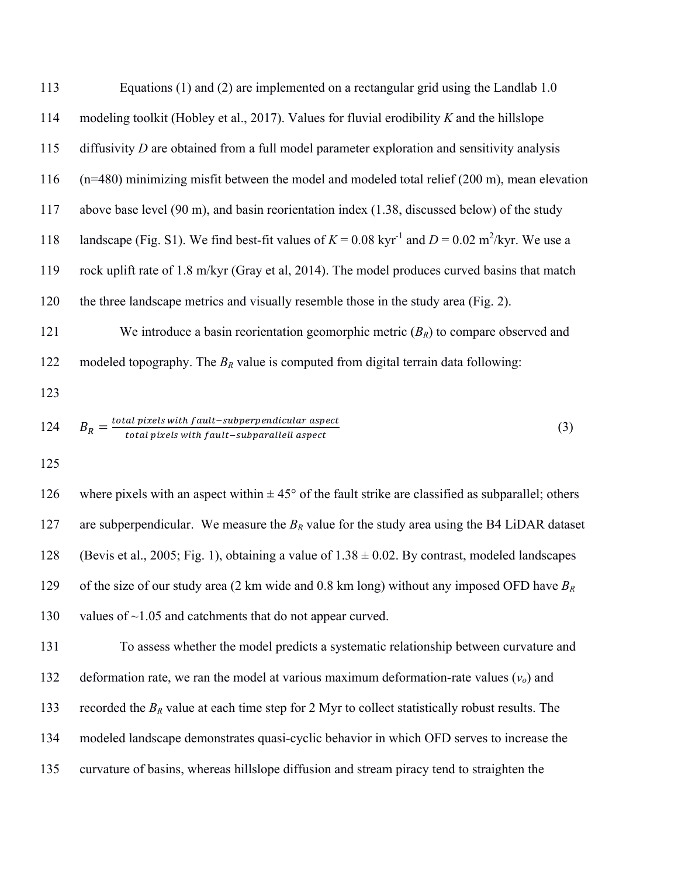113 Equations (1) and (2) are implemented on a rectangular grid using the Landlab 1.0 114 modeling toolkit (Hobley et al., 2017). Values for fluvial erodibility *K* and the hillslope 115 diffusivity *D* are obtained from a full model parameter exploration and sensitivity analysis 116 (n=480) minimizing misfit between the model and modeled total relief (200 m), mean elevation 117 above base level (90 m), and basin reorientation index (1.38, discussed below) of the study 118 landscape (Fig. S1). We find best-fit values of  $K = 0.08 \text{ kyr}^{-1}$  and  $D = 0.02 \text{ m}^2/\text{kyr}$ . We use a 119 rock uplift rate of 1.8 m/kyr (Gray et al, 2014). The model produces curved basins that match 120 the three landscape metrics and visually resemble those in the study area (Fig. 2). 121 We introduce a basin reorientation geomorphic metric (*BR*) to compare observed and 122 modeled topography. The *BR* value is computed from digital terrain data following: 123  $B_R = \frac{total\ pixels\ with\ fault-subperpendicular\ aspect}{total\ pixels\ with\ fault-subparallel\ asset}$  $B_R = \frac{\text{total pixels with fault-subperpendicular aspect}}{\text{total pixels with fault-subparallel aspect}}$  (3)

125

126 where pixels with an aspect within  $\pm 45^{\circ}$  of the fault strike are classified as subparallel; others 127 are subperpendicular. We measure the  $B_R$  value for the study area using the B4 LiDAR dataset 128 (Bevis et al., 2005; Fig. 1), obtaining a value of  $1.38 \pm 0.02$ . By contrast, modeled landscapes 129 of the size of our study area (2 km wide and 0.8 km long) without any imposed OFD have *B<sup>R</sup>* 130 values of ~1.05 and catchments that do not appear curved.

131 To assess whether the model predicts a systematic relationship between curvature and 132 deformation rate, we ran the model at various maximum deformation-rate values (*vo*) and 133 recorded the *B<sub>R</sub>* value at each time step for 2 Myr to collect statistically robust results. The 134 modeled landscape demonstrates quasi-cyclic behavior in which OFD serves to increase the 135 curvature of basins, whereas hillslope diffusion and stream piracy tend to straighten the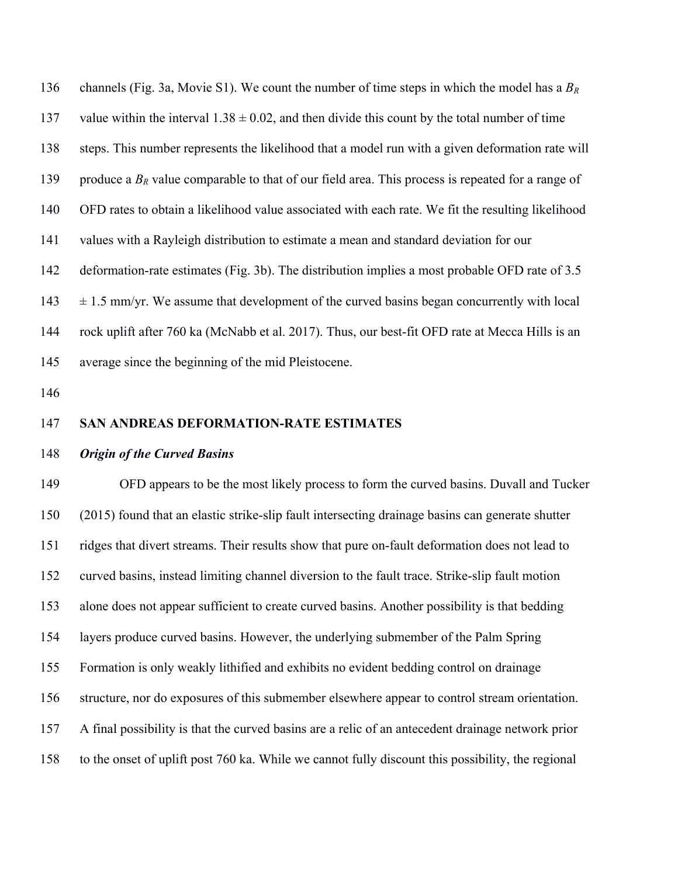136 channels (Fig. 3a, Movie S1). We count the number of time steps in which the model has a *B<sup>R</sup>* 137 value within the interval  $1.38 \pm 0.02$ , and then divide this count by the total number of time 138 steps. This number represents the likelihood that a model run with a given deformation rate will 139 produce a  $B_R$  value comparable to that of our field area. This process is repeated for a range of 140 OFD rates to obtain a likelihood value associated with each rate. We fit the resulting likelihood 141 values with a Rayleigh distribution to estimate a mean and standard deviation for our 142 deformation-rate estimates (Fig. 3b). The distribution implies a most probable OFD rate of 3.5  $143 \pm 1.5$  mm/yr. We assume that development of the curved basins began concurrently with local 144 rock uplift after 760 ka (McNabb et al. 2017). Thus, our best-fit OFD rate at Mecca Hills is an 145 average since the beginning of the mid Pleistocene.

146

## 147 **SAN ANDREAS DEFORMATION-RATE ESTIMATES**

#### 148 *Origin of the Curved Basins*

149 OFD appears to be the most likely process to form the curved basins. Duvall and Tucker 150 (2015) found that an elastic strike-slip fault intersecting drainage basins can generate shutter 151 ridges that divert streams. Their results show that pure on-fault deformation does not lead to 152 curved basins, instead limiting channel diversion to the fault trace. Strike-slip fault motion 153 alone does not appear sufficient to create curved basins. Another possibility is that bedding 154 layers produce curved basins. However, the underlying submember of the Palm Spring 155 Formation is only weakly lithified and exhibits no evident bedding control on drainage 156 structure, nor do exposures of this submember elsewhere appear to control stream orientation. 157 A final possibility is that the curved basins are a relic of an antecedent drainage network prior 158 to the onset of uplift post 760 ka. While we cannot fully discount this possibility, the regional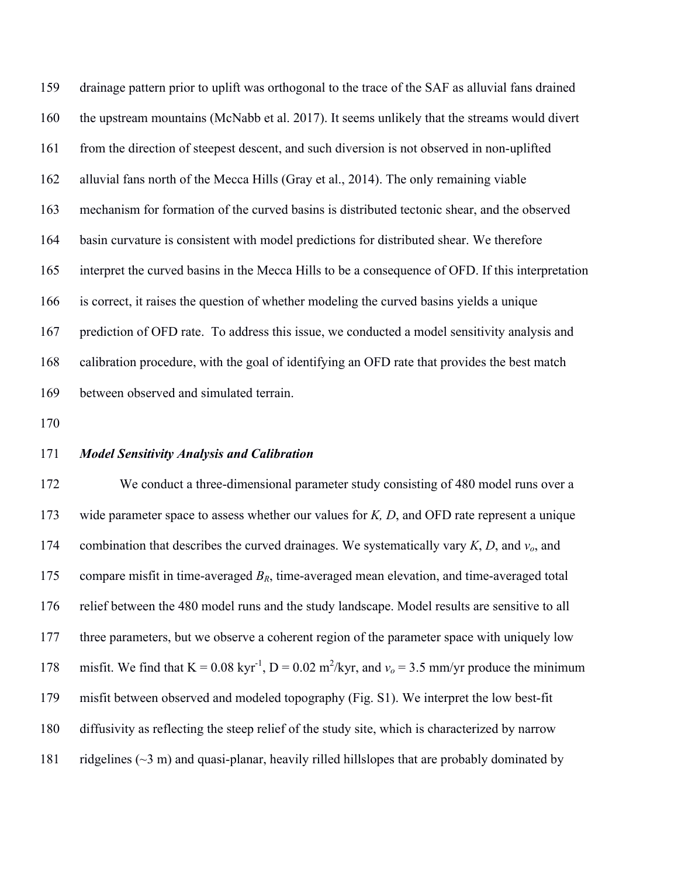159 drainage pattern prior to uplift was orthogonal to the trace of the SAF as alluvial fans drained 160 the upstream mountains (McNabb et al. 2017). It seems unlikely that the streams would divert 161 from the direction of steepest descent, and such diversion is not observed in non-uplifted 162 alluvial fans north of the Mecca Hills (Gray et al., 2014). The only remaining viable 163 mechanism for formation of the curved basins is distributed tectonic shear, and the observed 164 basin curvature is consistent with model predictions for distributed shear. We therefore 165 interpret the curved basins in the Mecca Hills to be a consequence of OFD. If this interpretation 166 is correct, it raises the question of whether modeling the curved basins yields a unique 167 prediction of OFD rate. To address this issue, we conducted a model sensitivity analysis and 168 calibration procedure, with the goal of identifying an OFD rate that provides the best match 169 between observed and simulated terrain.

170

## 171 *Model Sensitivity Analysis and Calibration*

172 We conduct a three-dimensional parameter study consisting of 480 model runs over a 173 wide parameter space to assess whether our values for *K, D*, and OFD rate represent a unique 174 combination that describes the curved drainages. We systematically vary *K*, *D*, and *vo*, and 175 compare misfit in time-averaged *BR*, time-averaged mean elevation, and time-averaged total 176 relief between the 480 model runs and the study landscape. Model results are sensitive to all 177 three parameters, but we observe a coherent region of the parameter space with uniquely low 178 misfit. We find that  $K = 0.08 \text{ kyr}^{-1}$ ,  $D = 0.02 \text{ m}^2/\text{kyr}$ , and  $v_o = 3.5 \text{ mm/yr}$  produce the minimum 179 misfit between observed and modeled topography (Fig. S1). We interpret the low best-fit 180 diffusivity as reflecting the steep relief of the study site, which is characterized by narrow 181 ridgelines (~3 m) and quasi-planar, heavily rilled hillslopes that are probably dominated by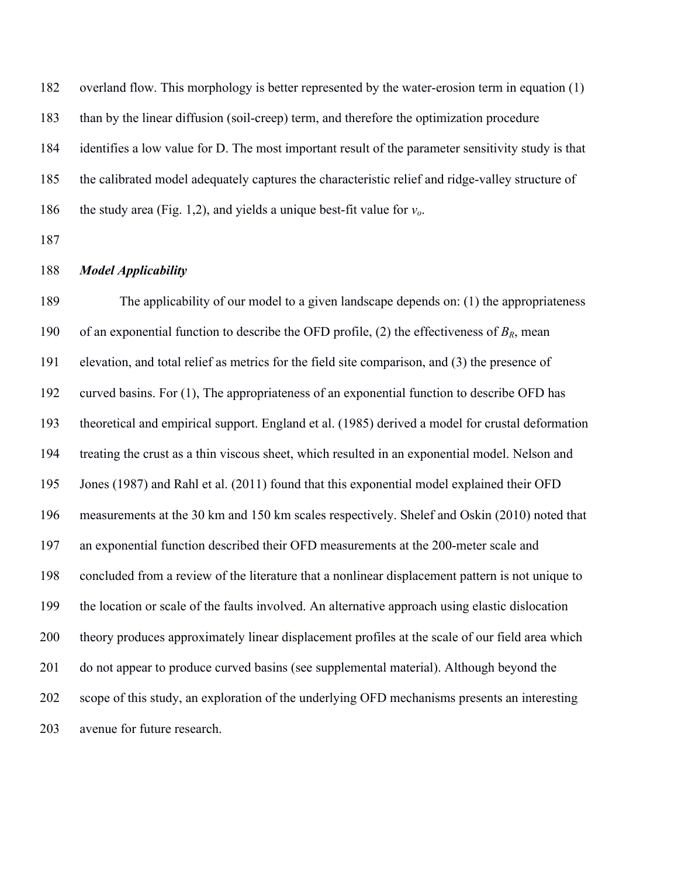182 overland flow. This morphology is better represented by the water-erosion term in equation (1) 183 than by the linear diffusion (soil-creep) term, and therefore the optimization procedure 184 identifies a low value for D. The most important result of the parameter sensitivity study is that 185 the calibrated model adequately captures the characteristic relief and ridge-valley structure of 186 the study area (Fig. 1,2), and yields a unique best-fit value for  $v<sub>o</sub>$ .

187

# 188 *Model Applicability*

189 The applicability of our model to a given landscape depends on: (1) the appropriateness 190 of an exponential function to describe the OFD profile, (2) the effectiveness of  $B_R$ , mean 191 elevation, and total relief as metrics for the field site comparison, and (3) the presence of 192 curved basins. For (1), The appropriateness of an exponential function to describe OFD has 193 theoretical and empirical support. England et al. (1985) derived a model for crustal deformation 194 treating the crust as a thin viscous sheet, which resulted in an exponential model. Nelson and 195 Jones (1987) and Rahl et al. (2011) found that this exponential model explained their OFD 196 measurements at the 30 km and 150 km scales respectively. Shelef and Oskin (2010) noted that 197 an exponential function described their OFD measurements at the 200-meter scale and 198 concluded from a review of the literature that a nonlinear displacement pattern is not unique to 199 the location or scale of the faults involved. An alternative approach using elastic dislocation 200 theory produces approximately linear displacement profiles at the scale of our field area which 201 do not appear to produce curved basins (see supplemental material). Although beyond the 202 scope of this study, an exploration of the underlying OFD mechanisms presents an interesting 203 avenue for future research.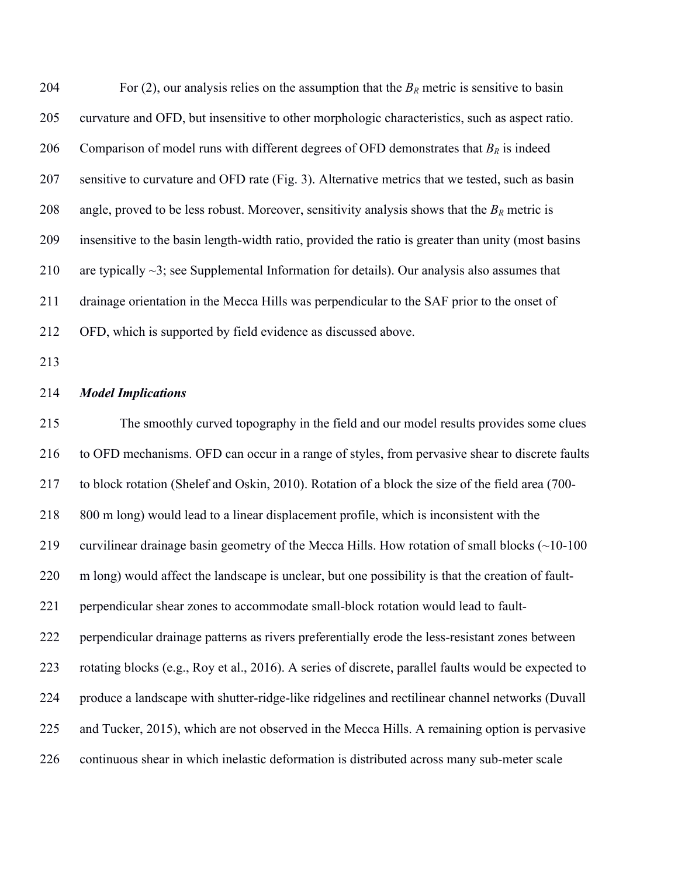204 For (2), our analysis relies on the assumption that the  $B_R$  metric is sensitive to basin 205 curvature and OFD, but insensitive to other morphologic characteristics, such as aspect ratio. 206 Comparison of model runs with different degrees of OFD demonstrates that  $B_R$  is indeed 207 sensitive to curvature and OFD rate (Fig. 3). Alternative metrics that we tested, such as basin 208 angle, proved to be less robust. Moreover, sensitivity analysis shows that the  $B_R$  metric is 209 insensitive to the basin length-width ratio, provided the ratio is greater than unity (most basins 210 are typically  $\sim$ 3; see Supplemental Information for details). Our analysis also assumes that 211 drainage orientation in the Mecca Hills was perpendicular to the SAF prior to the onset of 212 OFD, which is supported by field evidence as discussed above.

213

## 214 *Model Implications*

215 The smoothly curved topography in the field and our model results provides some clues 216 to OFD mechanisms. OFD can occur in a range of styles, from pervasive shear to discrete faults 217 to block rotation (Shelef and Oskin, 2010). Rotation of a block the size of the field area (700- 218 800 m long) would lead to a linear displacement profile, which is inconsistent with the 219 curvilinear drainage basin geometry of the Mecca Hills. How rotation of small blocks (~10-100 220 m long) would affect the landscape is unclear, but one possibility is that the creation of fault-221 perpendicular shear zones to accommodate small-block rotation would lead to fault-222 perpendicular drainage patterns as rivers preferentially erode the less-resistant zones between 223 rotating blocks (e.g., Roy et al., 2016). A series of discrete, parallel faults would be expected to 224 produce a landscape with shutter-ridge-like ridgelines and rectilinear channel networks (Duvall 225 and Tucker, 2015), which are not observed in the Mecca Hills. A remaining option is pervasive 226 continuous shear in which inelastic deformation is distributed across many sub-meter scale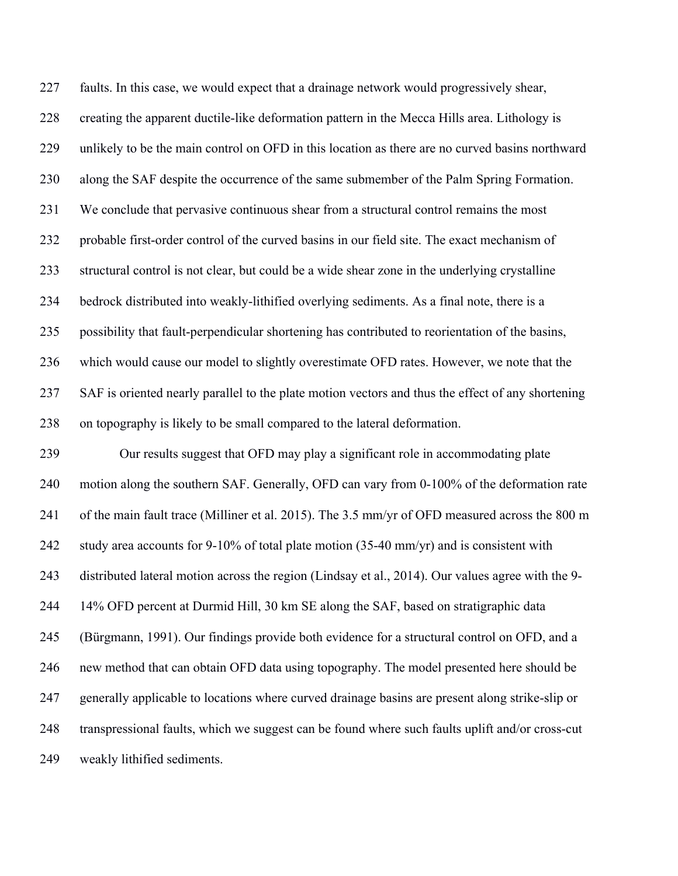227 faults. In this case, we would expect that a drainage network would progressively shear, 228 creating the apparent ductile-like deformation pattern in the Mecca Hills area. Lithology is 229 unlikely to be the main control on OFD in this location as there are no curved basins northward 230 along the SAF despite the occurrence of the same submember of the Palm Spring Formation. 231 We conclude that pervasive continuous shear from a structural control remains the most 232 probable first-order control of the curved basins in our field site. The exact mechanism of 233 structural control is not clear, but could be a wide shear zone in the underlying crystalline 234 bedrock distributed into weakly-lithified overlying sediments. As a final note, there is a 235 possibility that fault-perpendicular shortening has contributed to reorientation of the basins, 236 which would cause our model to slightly overestimate OFD rates. However, we note that the 237 SAF is oriented nearly parallel to the plate motion vectors and thus the effect of any shortening 238 on topography is likely to be small compared to the lateral deformation. 239 Our results suggest that OFD may play a significant role in accommodating plate 240 motion along the southern SAF. Generally, OFD can vary from 0-100% of the deformation rate 241 of the main fault trace (Milliner et al. 2015). The 3.5 mm/yr of OFD measured across the 800 m 242 study area accounts for 9-10% of total plate motion (35-40 mm/yr) and is consistent with 243 distributed lateral motion across the region (Lindsay et al., 2014). Our values agree with the 9- 244 14% OFD percent at Durmid Hill, 30 km SE along the SAF, based on stratigraphic data 245 (Bürgmann, 1991). Our findings provide both evidence for a structural control on OFD, and a 246 new method that can obtain OFD data using topography. The model presented here should be 247 generally applicable to locations where curved drainage basins are present along strike-slip or 248 transpressional faults, which we suggest can be found where such faults uplift and/or cross-cut 249 weakly lithified sediments.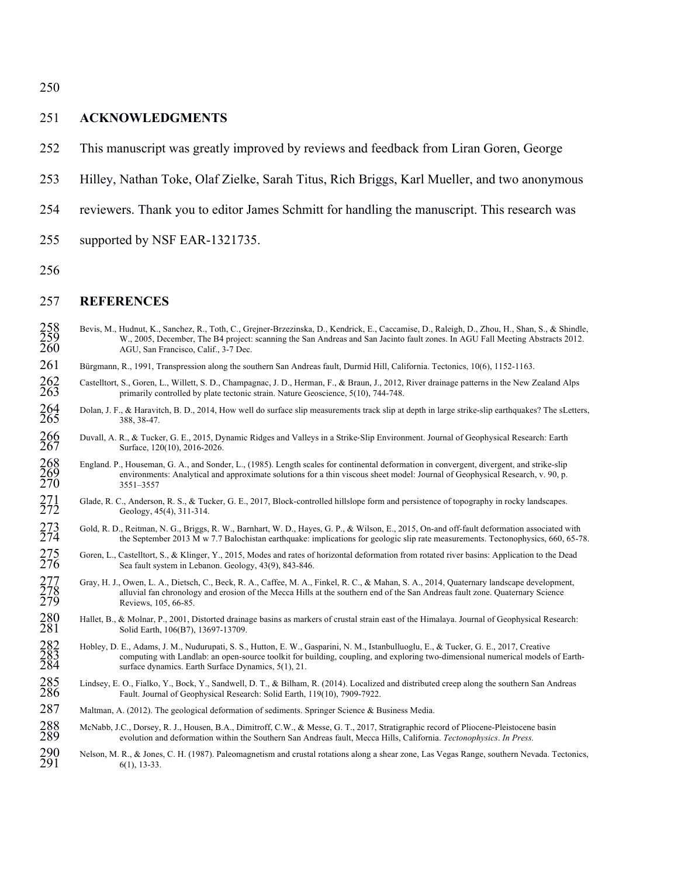250

#### 251 **ACKNOWLEDGMENTS**

- 252 This manuscript was greatly improved by reviews and feedback from Liran Goren, George
- 253 Hilley, Nathan Toke, Olaf Zielke, Sarah Titus, Rich Briggs, Karl Mueller, and two anonymous
- 254 reviewers. Thank you to editor James Schmitt for handling the manuscript. This research was
- 255 supported by NSF EAR-1321735.
- 256

## 257 **REFERENCES**

- 258 Bevis, M., Hudnut, K., Sanchez, R., Toth, C., Grejner-Brzezinska, D., Kendrick, E., Caccamise, D., Raleigh, D., Zhou, H., Shan, S., & Shindle, W., 2005, December, The B4 project: scanning the San Andreas and San Jacint W., 2005, December, The B4 project: scanning the San Andreas and San Jacinto fault zones. In AGU Fall Meeting Abstracts 2012. AGU, San Francisco, Calif., 3-7 Dec.
- 261 Bürgmann, R., 1991, Transpression along the southern San Andreas fault, Durmid Hill, California. Tectonics, 10(6), 1152-1163.
- 262 Castelltort, S., Goren, L., Willett, S. D., Champagnac, J. D., Herman, F., & Braun, J., 2012, River drainage patterns in the New Zealand Alps primarily controlled by plate tectonic strain. Nature Geoscience, 5(10), 744 primarily controlled by plate tectonic strain. Nature Geoscience, 5(10), 744-748.
- 264 Dolan, J. F., & Haravitch, B. D., 2014, How well do surface slip measurements track slip at depth in large strike-slip earthquakes? The sLetters, 388, 38-47. 388, 38-47.
- 266 Duvall, A. R., & Tucker, G. E., 2015, Dynamic Ridges and Valleys in a Strike-Slip Environment. Journal of Geophysical Research: Earth
- 267 Surface, 120(10), 2016-2026.<br>
268 England. P., Houseman, G. A., and Sond<br>
269 environments: Analytical and<br>
270 3551–3557 268 England. P., Houseman, G. A., and Sonder, L., (1985). Length scales for continental deformation in convergent, divergent, and strike-slip environments: Analytical and approximate solutions for a thin viscous sheet model: Journal of Geophysical Research, v. 90, p. 270 3551–3557
- 271 Glade, R. C., Anderson, R. S., & Tucker, G. E., 2017, Block-controlled hillslope form and persistence of topography in rocky landscapes.<br>272 Geology, 45(4), 311-314. Geology, 45(4), 311-314.
- 273 Gold, R. D., Reitman, N. G., Briggs, R. W., Barnhart, W. D., Hayes, G. P., & Wilson, E., 2015, On-and off-fault deformation associated with<br>274 the September 2013 M w 7.7 Balochistan earthquake: implications for geolog 274 the September 2013 M w 7.7 Balochistan earthquake: implications for geologic slip rate measurements. Tectonophysics, 660, 65-78.
- 275 Goren, L., Castelltort, S., & Klinger, Y., 2015, Modes and rates of horizontal deformation from rotated river basins: Application to the Dead<br>276 Sea fault system in Lebanon. Geology, 43(9), 843-846.
- 276 Sea fault system in Lebanon. Geology, 43(9), 843-846.<br>
277 Gray, H. J., Owen, L. A., Dietsch, C., Beck, R. A., Caffee, M. A., 278 alluvial fan chronology and erosion of the Mecca Hills<br>
279 Reviews, 105, 66-85. 277 Gray, H. J., Owen, L. A., Dietsch, C., Beck, R. A., Caffee, M. A., Finkel, R. C., & Mahan, S. A., 2014, Quaternary landscape development, alluvial fan chronology and erosion of the Mecca Hills at the southern end of the San Andreas fault zone. Quaternary Science
- 279 Reviews, 105, 66-85.<br>
280 Hallet, B., & Molnar, P., 2001, I<br>
281 Solid Earth, 106(B7), 280 Hallet, B., & Molnar, P., 2001, Distorted drainage basins as markers of crustal strain east of the Himalaya. Journal of Geophysical Research: Solid Earth, 106(B7), 13697-13709.
- 282 Hobley, D. E., Adams, J. M., Nudurupati, S. S., Hutton, E. W., Gasparini, N. M., Istanbulluoglu, E., & Tucker, G. E., 2017, Creative<br>283 computing with Landlab: an open-source toolkit for building, coupling, and explor 283 computing with Landlab: an open-source toolkit for building, coupling, and exploring two-dimensional numerical models of Earthsurface dynamics. Earth Surface Dynamics, 5(1), 21.
- 285 Lindsey, E. O., Fialko, Y., Bock, Y., Sandwell, D. T., & Bilham, R. (2014). Localized and distributed creep along the southern San Andreas Fault. Journal of Geophysical Research: Solid Earth, 119(10), 7909-7922. Fault. Journal of Geophysical Research: Solid Earth, 119(10), 7909-7922.
- 287 Maltman, A. (2012). The geological deformation of sediments. Springer Science & Business Media.
- 288 McNabb, J.C., Dorsey, R. J., Housen, B.A., Dimitroff, C.W., & Messe, G. T., 2017, Stratigraphic record of Pliocene-Pleistocene basin<br>289 evolution and deformation within the Southern San Andreas fault. Mecca Hills. Cal 289 evolution and deformation within the Southern San Andreas fault, Mecca Hills, California. *Tectonophysics*. *In Press.*
- 290 Nelson, M. R., & Jones, C. H. (1987). Paleomagnetism and crustal rotations along a shear zone, Las Vegas Range, southern Nevada. Tectonics,  $291$  $6(1)$ , 13-33.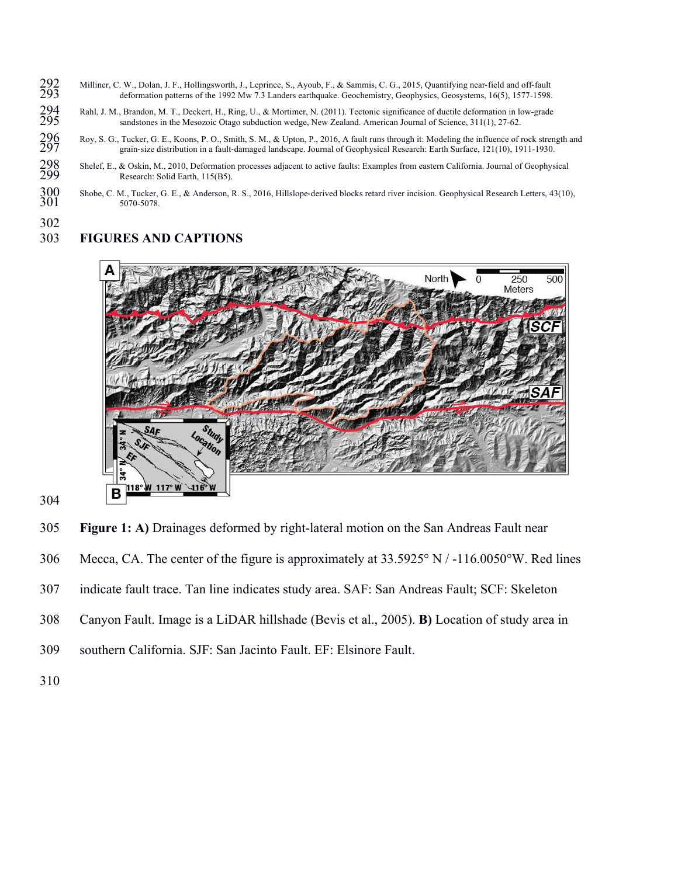- 292 Milliner, C. W., Dolan, J. F., Hollingsworth, J., Leprince, S., Ayoub, F., & Sammis, C. G., 2015, Quantifying near-field and off-fault deformation patterns of the 1992 Mw 7.3 Landers earthquake. Geochemistry, Geophysic deformation patterns of the 1992 Mw 7.3 Landers earthquake. Geochemistry, Geophysics, Geosystems, 16(5), 1577-1598.
- 294 Rahl, J. M., Brandon, M. T., Deckert, H., Ring, U., & Mortimer, N. (2011). Tectonic significance of ductile deformation in low-grade<br>295 sandstones in the Mesozoic Otago subduction wedge, New Zealand. American Journal
- sandstones in the Mesozoic Otago subduction wedge, New Zealand. American Journal of Science, 311(1), 27-62.<br>296 Roy, S. G., Tucker, G. E., Koons, P. O., Smith, S. M., & Upton, P., 2016, A fault runs through it: Modeling th 296 Roy, S. G., Tucker, G. E., Koons, P. O., Smith, S. M., & Upton, P., 2016, A fault runs through it: Modeling the influence of rock strength and 297 grain-size distribution in a fault-damaged landscape. Journal of Geophysical Research: Earth Surface, 121(10), 1911-1930.
- 298 Shelef, E., & Oskin, M., 2010, Deformation processes adjacent to active faults: Examples from eastern California. Journal of Geophysical<br>299 Research: Solid Earth 115(B5) Research: Solid Earth, 115(B5).
- 300 Shobe, C. M., Tucker, G. E., & Anderson, R. S., 2016, Hillslope-derived blocks retard river incision. Geophysical Research Letters, 43(10), 5070-5078. 5070-5078.
- 

# 302<br>303 303 **FIGURES AND CAPTIONS**



304

305 **Figure 1: A)** Drainages deformed by right-lateral motion on the San Andreas Fault near

- 306 Mecca, CA. The center of the figure is approximately at 33.5925° N / -116.0050°W. Red lines
- 307 indicate fault trace. Tan line indicates study area. SAF: San Andreas Fault; SCF: Skeleton
- 308 Canyon Fault. Image is a LiDAR hillshade (Bevis et al., 2005). **B)** Location of study area in
- 309 southern California. SJF: San Jacinto Fault. EF: Elsinore Fault.
- 310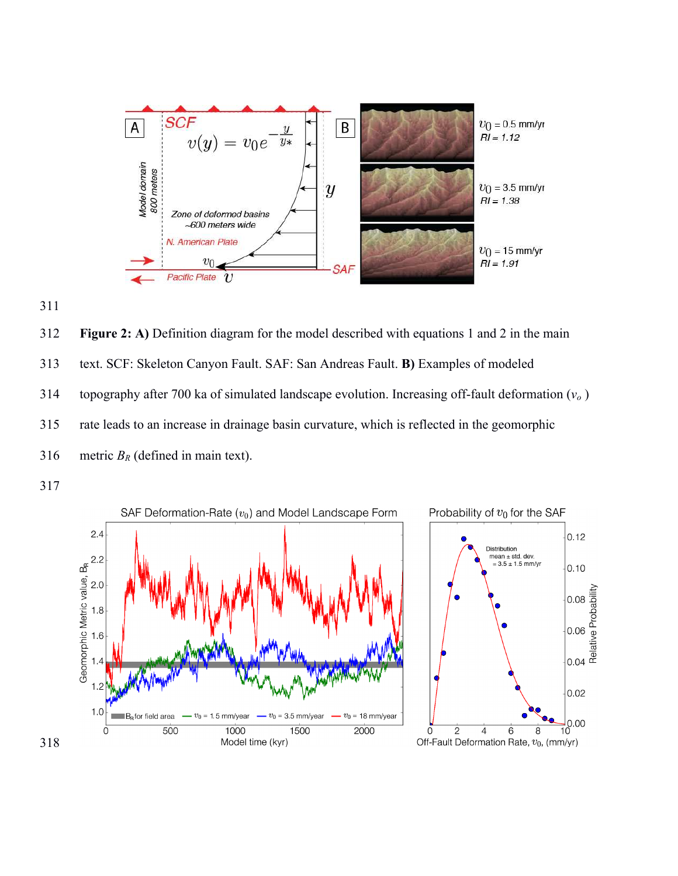



312 **Figure 2: A)** Definition diagram for the model described with equations 1 and 2 in the main 313 text. SCF: Skeleton Canyon Fault. SAF: San Andreas Fault. **B)** Examples of modeled 314 topography after 700 ka of simulated landscape evolution. Increasing off-fault deformation  $(v<sub>o</sub>)$ 315 rate leads to an increase in drainage basin curvature, which is reflected in the geomorphic 316 metric  $B_R$  (defined in main text).

317